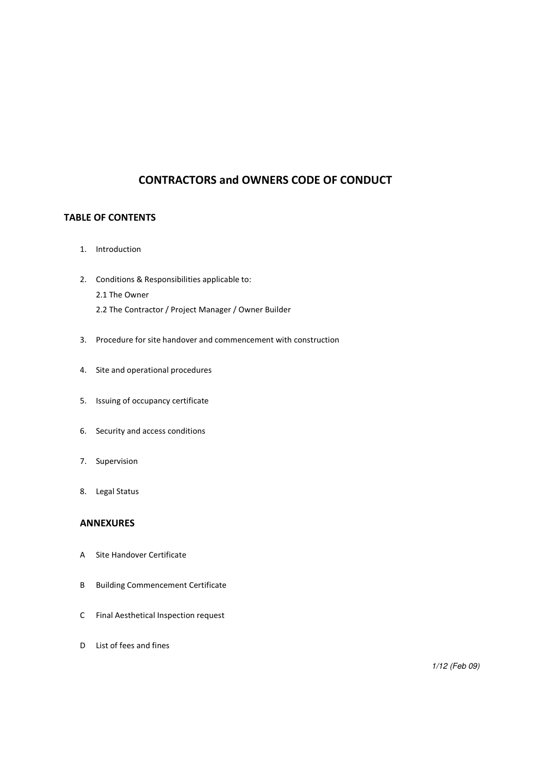# CONTRACTORS and OWNERS CODE OF CONDUCT

# TABLE OF CONTENTS

- 1. Introduction
- 2. Conditions & Responsibilities applicable to: 2.1 The Owner 2.2 The Contractor / Project Manager / Owner Builder
- 3. Procedure for site handover and commencement with construction
- 4. Site and operational procedures
- 5. Issuing of occupancy certificate
- 6. Security and access conditions
- 7. Supervision
- 8. Legal Status

## ANNEXURES

- A Site Handover Certificate
- B Building Commencement Certificate
- C Final Aesthetical Inspection request
- D List of fees and fines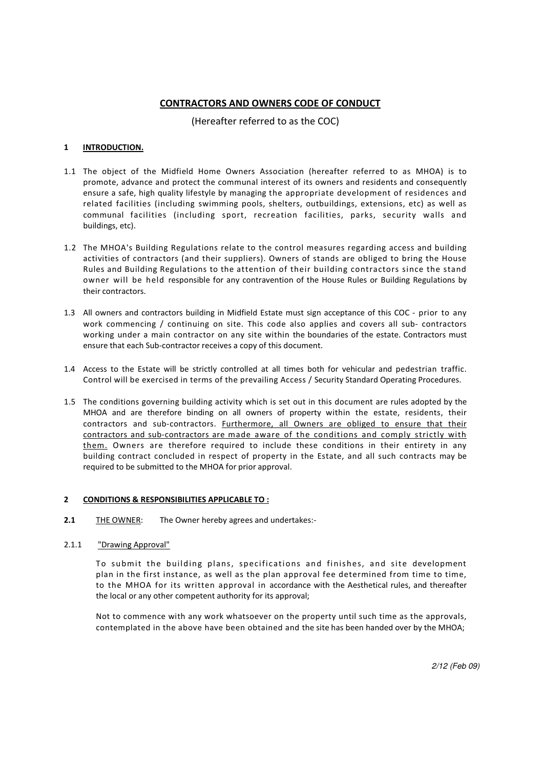## CONTRACTORS AND OWNERS CODE OF CONDUCT

(Hereafter referred to as the COC)

## 1 **INTRODUCTION.**

- 1.1 The object of the Midfield Home Owners Association (hereafter referred to as MHOA) is to promote, advance and protect the communal interest of its owners and residents and consequently ensure a safe, high quality lifestyle by managing the appropriate development of residences and related facilities (including swimming pools, shelters, outbuildings, extensions, etc) as well as communal facilities (including sport, recreation facilities, parks, security walls and buildings, etc).
- 1.2 The MHOA's Building Regulations relate to the control measures regarding access and building activities of contractors (and their suppliers). Owners of stands are obliged to bring the House Rules and Building Regulations to the attention of their building contractors since the stand owner will be held responsible for any contravention of the House Rules or Building Regulations by their contractors.
- 1.3 All owners and contractors building in Midfield Estate must sign acceptance of this COC prior to any work commencing / continuing on site. This code also applies and covers all sub- contractors working under a main contractor on any site within the boundaries of the estate. Contractors must ensure that each Sub-contractor receives a copy of this document.
- 1.4 Access to the Estate will be strictly controlled at all times both for vehicular and pedestrian traffic. Control will be exercised in terms of the prevailing Access / Security Standard Operating Procedures.
- 1.5 The conditions governing building activity which is set out in this document are rules adopted by the MHOA and are therefore binding on all owners of property within the estate, residents, their contractors and sub-contractors. **Furthermore, all Owners are obliged to ensure that their** contractors and sub-contractors are made aware of the conditions and comply strictly with them. Owners are therefore required to include these conditions in their entirety in any building contract concluded in respect of property in the Estate, and all such contracts may be required to be submitted to the MHOA for prior approval.

## 2 CONDITIONS & RESPONSIBILITIES APPLICABLE TO :

- 2.1 THE OWNER: The Owner hereby agrees and undertakes:-
- 2.1.1 "Drawing Approval"

To submit the building plans, specifications and finishes, and site development plan in the first instance, as well as the plan approval fee determined from time to time, to the MHOA for its written approval in accordance with the Aesthetical rules, and thereafter the local or any other competent authority for its approval;

Not to commence with any work whatsoever on the property until such time as the approvals, contemplated in the above have been obtained and the site has been handed over by the MHOA;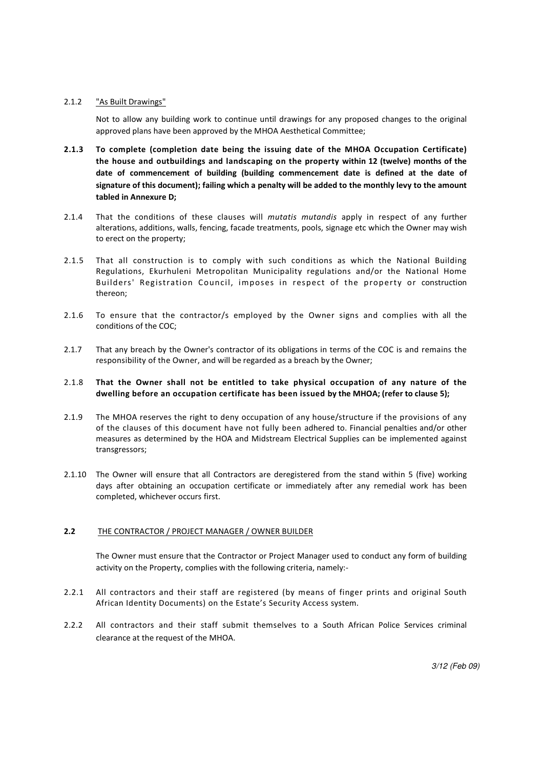## 2.1.2 "As Built Drawings"

Not to allow any building work to continue until drawings for any proposed changes to the original approved plans have been approved by the MHOA Aesthetical Committee;

- 2.1.3 To complete (completion date being the issuing date of the MHOA Occupation Certificate) the house and outbuildings and landscaping on the property within 12 (twelve) months of the date of commencement of building (building commencement date is defined at the date of signature of this document); failing which a penalty will be added to the monthly levy to the amount tabled in Annexure D;
- 2.1.4 That the conditions of these clauses will mutatis mutandis apply in respect of any further alterations, additions, walls, fencing, facade treatments, pools, signage etc which the Owner may wish to erect on the property;
- 2.1.5 That all construction is to comply with such conditions as which the National Building Regulations, Ekurhuleni Metropolitan Municipality regulations and/or the National Home Builders' Registration Council, imposes in respect of the property or construction thereon;
- 2.1.6 To ensure that the contractor/s employed by the Owner signs and complies with all the conditions of the COC;
- 2.1.7 That any breach by the Owner's contractor of its obligations in terms of the COC is and remains the responsibility of the Owner, and will be regarded as a breach by the Owner;

### 2.1.8 That the Owner shall not be entitled to take physical occupation of any nature of the dwelling before an occupation certificate has been issued by the MHOA; (refer to clause 5);

- 2.1.9 The MHOA reserves the right to deny occupation of any house/structure if the provisions of any of the clauses of this document have not fully been adhered to. Financial penalties and/or other measures as determined by the HOA and Midstream Electrical Supplies can be implemented against transgressors;
- 2.1.10 The Owner will ensure that all Contractors are deregistered from the stand within 5 (five) working days after obtaining an occupation certificate or immediately after any remedial work has been completed, whichever occurs first.

## 2.2 THE CONTRACTOR / PROJECT MANAGER / OWNER BUILDER

The Owner must ensure that the Contractor or Project Manager used to conduct any form of building activity on the Property, complies with the following criteria, namely:-

- 2.2.1 All contractors and their staff are registered (by means of finger prints and original South African Identity Documents) on the Estate's Security Access system.
- 2.2.2 All contractors and their staff submit themselves to a South African Police Services criminal clearance at the request of the MHOA.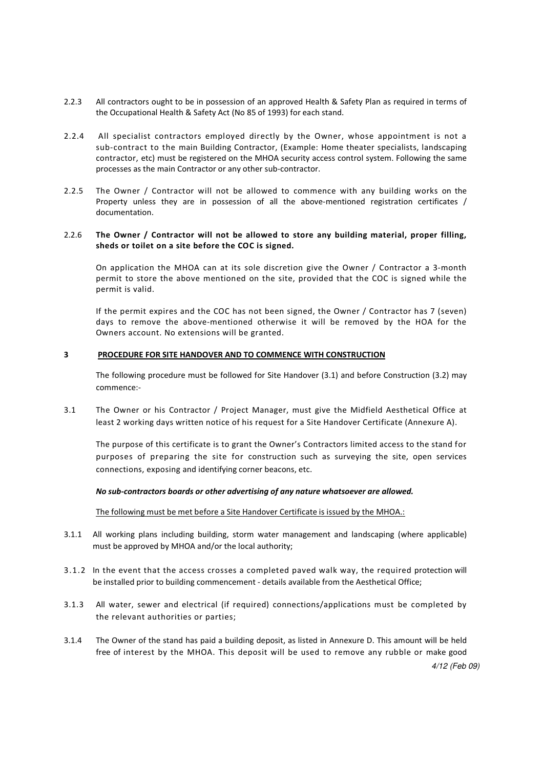- 2.2.3 All contractors ought to be in possession of an approved Health & Safety Plan as required in terms of the Occupational Health & Safety Act (No 85 of 1993) for each stand.
- 2.2.4 All specialist contractors employed directly by the Owner, whose appointment is not a sub-contract to the main Building Contractor, (Example: Home theater specialists, landscaping contractor, etc) must be registered on the MHOA security access control system. Following the same processes as the main Contractor or any other sub-contractor.
- 2.2.5 The Owner / Contractor will not be allowed to commence with any building works on the Property unless they are in possession of all the above-mentioned registration certificates / documentation.

### 2.2.6 The Owner / Contractor will not be allowed to store any building material, proper filling, sheds or toilet on a site before the COC is signed.

On application the MHOA can at its sole discretion give the Owner / Contractor a 3-month permit to store the above mentioned on the site, provided that the COC is signed while the permit is valid.

If the permit expires and the COC has not been signed, the Owner / Contractor has 7 (seven) days to remove the above-mentioned otherwise it will be removed by the HOA for the Owners account. No extensions will be granted.

## 3 PROCEDURE FOR SITE HANDOVER AND TO COMMENCE WITH CONSTRUCTION

The following procedure must be followed for Site Handover (3.1) and before Construction (3.2) may commence:-

3.1 The Owner or his Contractor / Project Manager, must give the Midfield Aesthetical Office at least 2 working days written notice of his request for a Site Handover Certificate (Annexure A).

 The purpose of this certificate is to grant the Owner's Contractors limited access to the stand for purposes of preparing the site for construction such as surveying the site, open services connections, exposing and identifying corner beacons, etc.

## No sub-contractors boards or other advertising of any nature whatsoever are allowed.

The following must be met before a Site Handover Certificate is issued by the MHOA.:

- 3.1.1 All working plans including building, storm water management and landscaping (where applicable) must be approved by MHOA and/or the local authority;
- 3.1.2 In the event that the access crosses a completed paved walk way, the required protection will be installed prior to building commencement - details available from the Aesthetical Office;
- 3.1.3 All water, sewer and electrical (if required) connections/applications must be completed by the relevant authorities or parties;
- 4/12 (Feb 09) 3.1.4 The Owner of the stand has paid a building deposit, as listed in Annexure D. This amount will be held free of interest by the MHOA. This deposit will be used to remove any rubble or make good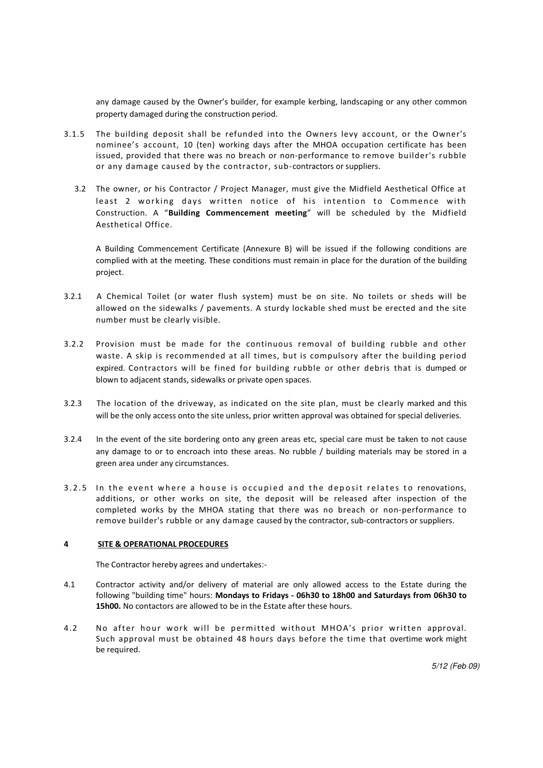any damage caused by the Owner's builder, for example kerbing, landscaping or any other common property damaged during the construction period.

- 3.1.5 The building deposit shall be refunded into the Owners levy account, or the Owner's nominee's account, 10 (ten) working days after the MHOA occupation certificate has been issued, provided that there was no breach or non-performance to remove builder's rubble or any damage caused by the contractor, sub-contractors or suppliers.
	- 3.2 The owner, or his Contractor / Project Manager, must give the Midfield Aesthetical Office at least 2 working days written notice of his intention to Commence with Construction. A "Building Commencement meeting" will be scheduled by the Midfield Aesthetical Office.

A Building Commencement Certificate (Annexure B) will be issued if the following conditions are complied with at the meeting. These conditions must remain in place for the duration of the building project.

- 3.2.1 A Chemical Toilet (or water flush system) must be on site. No toilets or sheds will be allowed on the sidewalks / pavements. A sturdy lockable shed must be erected and the site number must be clearly visible.
- 3.2.2 Provision must be made for the continuous removal of building rubble and other waste. A skip is recommended at all times, but is compulsory after the building period expired. Contractors will be fined for building rubble or other debris that is dumped or blown to adjacent stands, sidewalks or private open spaces.
- 3.2.3 The location of the driveway, as indicated on the site plan, must be clearly marked and this will be the only access onto the site unless, prior written approval was obtained for special deliveries.
- 3.2.4 In the event of the site bordering onto any green areas etc, special care must be taken to not cause any damage to or to encroach into these areas. No rubble / building materials may be stored in a green area under any circumstances.
- 3.2.5 In the event where a house is occupied and the deposit relates to renovations, additions, or other works on site, the deposit will be released after inspection of the completed works by the MHOA stating that there was no breach or non-performance to remove builder's rubble or any damage caused by the contractor, sub-contractors or suppliers.

#### 4 SITE & OPERATIONAL PROCEDURES

The Contractor hereby agrees and undertakes:-

- 4.1 Contractor activity and/or delivery of material are only allowed access to the Estate during the following "building time" hours: Mondays to Fridays - 06h30 to 18h00 and Saturdays from 06h30 to 15h00. No contactors are allowed to be in the Estate after these hours.
- 4.2 No after hour work will be permitted without MHOA's prior written approval. Such approval must be obtained 48 hours days before the time that overtime work might be required.

5/12 (Feb 09)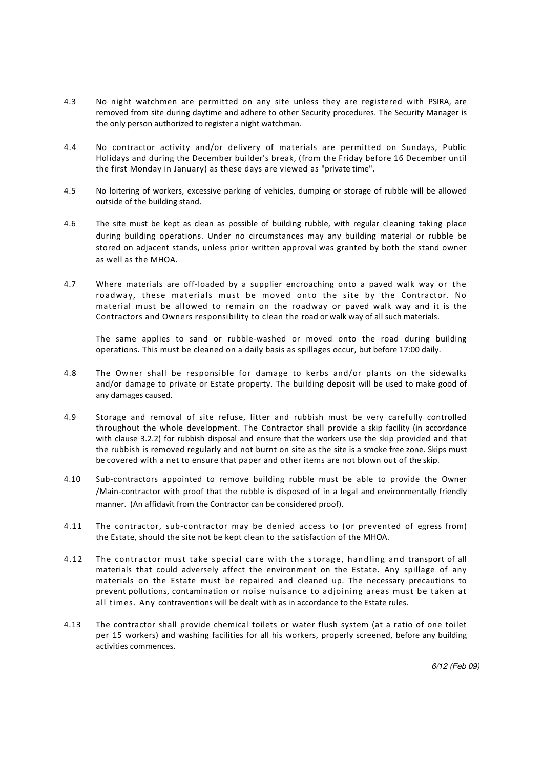- 4.3 No night watchmen are permitted on any site unless they are registered with PSIRA, are removed from site during daytime and adhere to other Security procedures. The Security Manager is the only person authorized to register a night watchman.
- 4.4 No contractor activity and/or delivery of materials are permitted on Sundays, Public Holidays and during the December builder's break, (from the Friday before 16 December until the first Monday in January) as these days are viewed as "private time".
- 4.5 No loitering of workers, excessive parking of vehicles, dumping or storage of rubble will be allowed outside of the building stand.
- 4.6 The site must be kept as clean as possible of building rubble, with regular cleaning taking place during building operations. Under no circumstances may any building material or rubble be stored on adjacent stands, unless prior written approval was granted by both the stand owner as well as the MHOA.
- 4.7 Where materials are off-loaded by a supplier encroaching onto a paved walk way or the roadway, these materials must be moved onto the site by the Contractor. No material must be allowed to remain on the roadway or paved walk way and it is the Contractors and Owners responsibility to clean the road or walk way of all such materials.

The same applies to sand or rubble-washed or moved onto the road during building operations. This must be cleaned on a daily basis as spillages occur, but before 17:00 daily.

- 4.8 The Owner shall be responsible for damage to kerbs and/or plants on the sidewalks and/or damage to private or Estate property. The building deposit will be used to make good of any damages caused.
- 4.9 Storage and removal of site refuse, litter and rubbish must be very carefully controlled throughout the whole development. The Contractor shall provide a skip facility (in accordance with clause 3.2.2) for rubbish disposal and ensure that the workers use the skip provided and that the rubbish is removed regularly and not burnt on site as the site is a smoke free zone. Skips must be covered with a net to ensure that paper and other items are not blown out of the skip.
- 4.10 Sub-contractors appointed to remove building rubble must be able to provide the Owner /Main-contractor with proof that the rubble is disposed of in a legal and environmentally friendly manner. (An affidavit from the Contractor can be considered proof).
- 4.11 The contractor, sub-contractor may be denied access to (or prevented of egress from) the Estate, should the site not be kept clean to the satisfaction of the MHOA.
- 4.12 The contractor must take special care with the storage, handling and transport of all materials that could adversely affect the environment on the Estate. Any spillage of any materials on the Estate must be repaired and cleaned up. The necessary precautions to prevent pollutions, contamination or noise nuisance to adjoining areas must be taken at all times. Any contraventions will be dealt with as in accordance to the Estate rules.
- 4.13 The contractor shall provide chemical toilets or water flush system (at a ratio of one toilet per 15 workers) and washing facilities for all his workers, properly screened, before any building activities commences.

6/12 (Feb 09)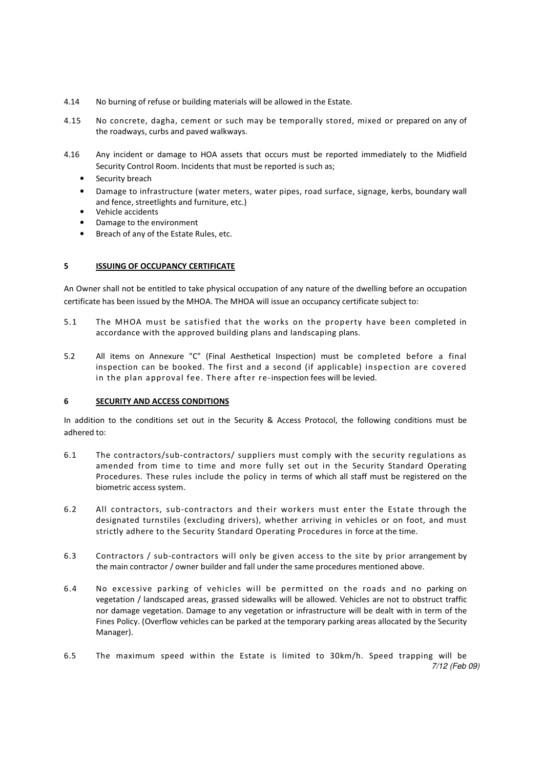- 4.14 No burning of refuse or building materials will be allowed in the Estate.
- 4.15 No concrete, dagha, cement or such may be temporally stored, mixed or prepared on any of the roadways, curbs and paved walkways.
- 4.16 Any incident or damage to HOA assets that occurs must be reported immediately to the Midfield Security Control Room. Incidents that must be reported is such as;
	- Security breach
	- Damage to infrastructure (water meters, water pipes, road surface, signage, kerbs, boundary wall and fence, streetlights and furniture, etc.)
	- Vehicle accidents
	- Damage to the environment
	- Breach of any of the Estate Rules, etc.

## 5 ISSUING OF OCCUPANCY CERTIFICATE

An Owner shall not be entitled to take physical occupation of any nature of the dwelling before an occupation certificate has been issued by the MHOA. The MHOA will issue an occupancy certificate subject to:

- 5.1 The MHOA must be satisfied that the works on the property have been completed in accordance with the approved building plans and landscaping plans.
- 5.2 All items on Annexure "C" (Final Aesthetical Inspection) must be completed before a final inspection can be booked. The first and a second (if applicable) inspection are covered in the plan approval fee. There after re-inspection fees will be levied.

## 6 SECURITY AND ACCESS CONDITIONS

In addition to the conditions set out in the Security & Access Protocol, the following conditions must be adhered to:

- 6.1 The contractors/sub-contractors/ suppliers must comply with the security regulations as amended from time to time and more fully set out in the Security Standard Operating Procedures. These rules include the policy in terms of which all staff must be registered on the biometric access system.
- 6.2 All contractors, sub-contractors and their workers must enter the Estate through the designated turnstiles (excluding drivers), whether arriving in vehicles or on foot, and must strictly adhere to the Security Standard Operating Procedures in force at the time.
- 6.3 Contractors / sub-contractors will only be given access to the site by prior arrangement by the main contractor / owner builder and fall under the same procedures mentioned above.
- 6.4 No excessive parking of vehicles will be permitted on the roads and no parking on vegetation / landscaped areas, grassed sidewalks will be allowed. Vehicles are not to obstruct traffic nor damage vegetation. Damage to any vegetation or infrastructure will be dealt with in term of the Fines Policy. (Overflow vehicles can be parked at the temporary parking areas allocated by the Security Manager).
- 7/12 (Feb 09) 6.5 The maximum speed within the Estate is limited to 30km/h. Speed trapping will be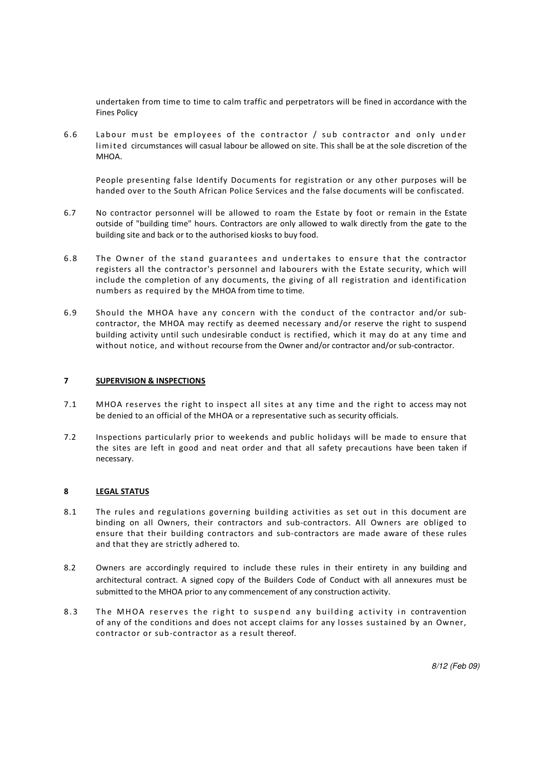undertaken from time to time to calm traffic and perpetrators will be fined in accordance with the Fines Policy

6.6 Labour must be employees of the contractor / sub contractor and only under limited circumstances will casual labour be allowed on site. This shall be at the sole discretion of the MHOA.

People presenting false Identify Documents for registration or any other purposes will be handed over to the South African Police Services and the false documents will be confiscated.

- 6.7 No contractor personnel will be allowed to roam the Estate by foot or remain in the Estate outside of "building time" hours. Contractors are only allowed to walk directly from the gate to the building site and back or to the authorised kiosks to buy food.
- 6.8 The Owner of the stand guarantees and undertakes to ensure that the contractor registers all the contractor's personnel and labourers with the Estate security, which will include the completion of any documents, the giving of all registration and identification numbers as required by the MHOA from time to time.
- 6.9 Should the MHOA have any concern with the conduct of the contractor and/or subcontractor, the MHOA may rectify as deemed necessary and/or reserve the right to suspend building activity until such undesirable conduct is rectified, which it may do at any time and without notice, and without recourse from the Owner and/or contractor and/or sub-contractor.

## 7 SUPERVISION & INSPECTIONS

- 7.1 MHOA reserves the right to inspect all sites at any time and the right to access may not be denied to an official of the MHOA or a representative such as security officials.
- 7.2 Inspections particularly prior to weekends and public holidays will be made to ensure that the sites are left in good and neat order and that all safety precautions have been taken if necessary.

#### 8 LEGAL STATUS

- 8.1 The rules and regulations governing building activities as set out in this document are binding on all Owners, their contractors and sub-contractors. All Owners are obliged to ensure that their building contractors and sub-contractors are made aware of these rules and that they are strictly adhered to.
- 8.2 Owners are accordingly required to include these rules in their entirety in any building and architectural contract. A signed copy of the Builders Code of Conduct with all annexures must be submitted to the MHOA prior to any commencement of any construction activity.
- 8.3 The MHOA reserves the right to suspend any building activity in contravention of any of the conditions and does not accept claims for any losses sustained by an Owner, contractor or sub-contractor as a result thereof.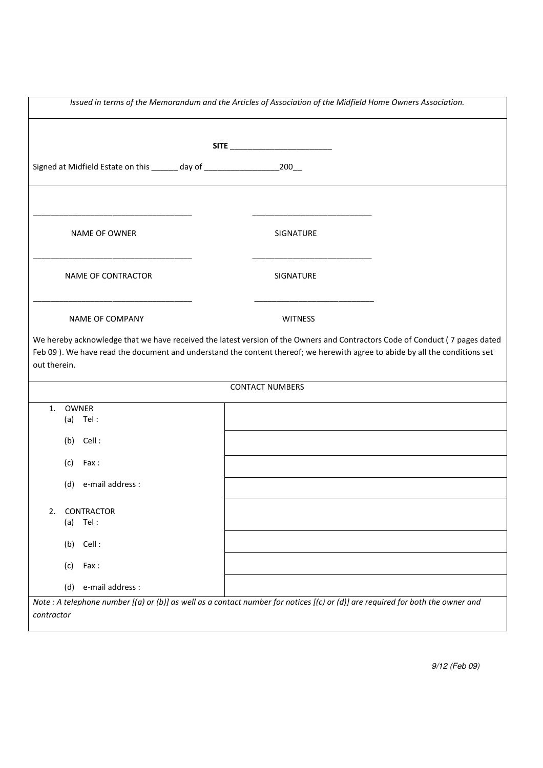| Issued in terms of the Memorandum and the Articles of Association of the Midfield Home Owners Association. |                                                                                         |  |                                                                                                                                 |                                                                                                                             |
|------------------------------------------------------------------------------------------------------------|-----------------------------------------------------------------------------------------|--|---------------------------------------------------------------------------------------------------------------------------------|-----------------------------------------------------------------------------------------------------------------------------|
|                                                                                                            |                                                                                         |  |                                                                                                                                 |                                                                                                                             |
|                                                                                                            |                                                                                         |  | SITE ____________________________                                                                                               |                                                                                                                             |
|                                                                                                            | Signed at Midfield Estate on this ______ day of _________________________________200___ |  |                                                                                                                                 |                                                                                                                             |
|                                                                                                            |                                                                                         |  |                                                                                                                                 |                                                                                                                             |
|                                                                                                            | NAME OF OWNER                                                                           |  | SIGNATURE                                                                                                                       |                                                                                                                             |
|                                                                                                            | NAME OF CONTRACTOR                                                                      |  | SIGNATURE                                                                                                                       |                                                                                                                             |
|                                                                                                            | <b>NAME OF COMPANY</b>                                                                  |  | <b>WITNESS</b>                                                                                                                  |                                                                                                                             |
| out therein.                                                                                               |                                                                                         |  | Feb 09). We have read the document and understand the content thereof; we herewith agree to abide by all the conditions set     | We hereby acknowledge that we have received the latest version of the Owners and Contractors Code of Conduct (7 pages dated |
|                                                                                                            |                                                                                         |  | <b>CONTACT NUMBERS</b>                                                                                                          |                                                                                                                             |
| 1.                                                                                                         | OWNER                                                                                   |  |                                                                                                                                 |                                                                                                                             |
|                                                                                                            | $(a)$ Tel:                                                                              |  |                                                                                                                                 |                                                                                                                             |
|                                                                                                            | $(b)$ Cell:                                                                             |  |                                                                                                                                 |                                                                                                                             |
|                                                                                                            | Fax :<br>(c)                                                                            |  |                                                                                                                                 |                                                                                                                             |
|                                                                                                            | e-mail address :<br>(d)                                                                 |  |                                                                                                                                 |                                                                                                                             |
|                                                                                                            |                                                                                         |  |                                                                                                                                 |                                                                                                                             |
| 2.                                                                                                         | CONTRACTOR<br>Tel:<br>(a)                                                               |  |                                                                                                                                 |                                                                                                                             |
|                                                                                                            | Cell:<br>(b)                                                                            |  |                                                                                                                                 |                                                                                                                             |
|                                                                                                            | (c)<br>Fax:                                                                             |  |                                                                                                                                 |                                                                                                                             |
|                                                                                                            | e-mail address :<br>(d)                                                                 |  |                                                                                                                                 |                                                                                                                             |
|                                                                                                            |                                                                                         |  | Note : A telephone number [(a) or (b)] as well as a contact number for notices [(c) or (d)] are required for both the owner and |                                                                                                                             |
| contractor                                                                                                 |                                                                                         |  |                                                                                                                                 |                                                                                                                             |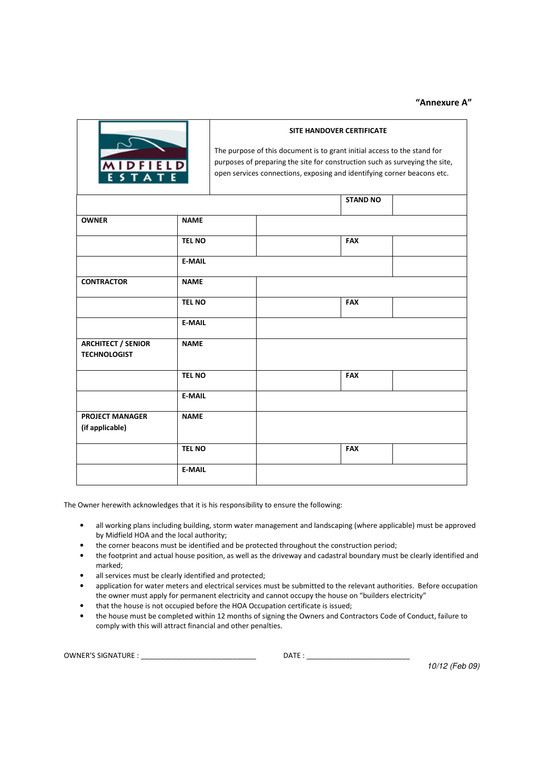## "Annexure A"



#### SITE HANDOVER CERTIFICATE

The purpose of this document is to grant initial access to the stand for purposes of preparing the site for construction such as surveying the site, open services connections, exposing and identifying corner beacons etc.

|                                                  |               | <b>STAND NO</b> |
|--------------------------------------------------|---------------|-----------------|
| <b>OWNER</b>                                     | <b>NAME</b>   |                 |
|                                                  | <b>TEL NO</b> | <b>FAX</b>      |
|                                                  | <b>E-MAIL</b> |                 |
| <b>CONTRACTOR</b>                                | <b>NAME</b>   |                 |
|                                                  | <b>TEL NO</b> | <b>FAX</b>      |
|                                                  | <b>E-MAIL</b> |                 |
| <b>ARCHITECT / SENIOR</b><br><b>TECHNOLOGIST</b> | <b>NAME</b>   |                 |
|                                                  | <b>TEL NO</b> | <b>FAX</b>      |
|                                                  | <b>E-MAIL</b> |                 |
| <b>PROJECT MANAGER</b><br>(if applicable)        | <b>NAME</b>   |                 |
|                                                  | <b>TEL NO</b> | <b>FAX</b>      |
|                                                  | <b>E-MAIL</b> |                 |

The Owner herewith acknowledges that it is his responsibility to ensure the following:

- all working plans including building, storm water management and landscaping (where applicable) must be approved by Midfield HOA and the local authority;
- the corner beacons must be identified and be protected throughout the construction period;
- the footprint and actual house position, as well as the driveway and cadastral boundary must be clearly identified and marked;
- all services must be clearly identified and protected;
- application for water meters and electrical services must be submitted to the relevant authorities. Before occupation the owner must apply for permanent electricity and cannot occupy the house on "builders electricity"
- that the house is not occupied before the HOA Occupation certificate is issued;
- the house must be completed within 12 months of signing the Owners and Contractors Code of Conduct, failure to comply with this will attract financial and other penalties.

| OWNER'S<br>TI IDE<br>SIGNAT<br>'UNL<br>______ | $  -$<br>۵Δ. |
|-----------------------------------------------|--------------|
|                                               |              |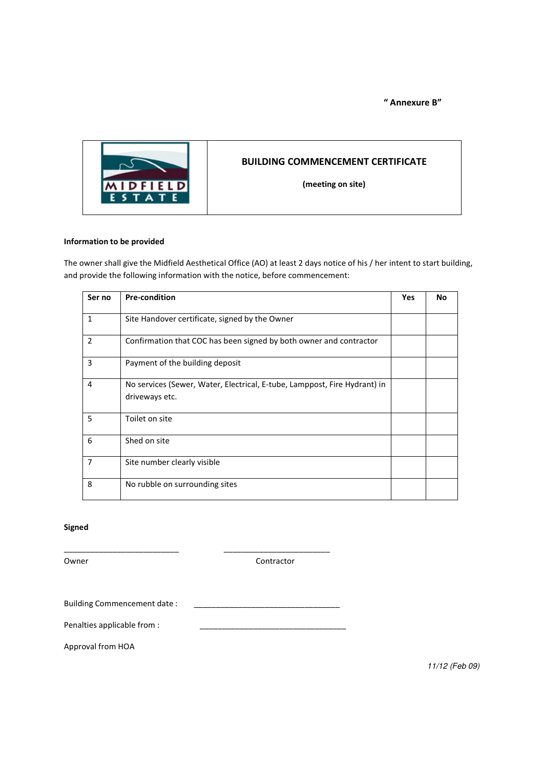" Annexure B"



# BUILDING COMMENCEMENT CERTIFICATE

(meeting on site)

## Information to be provided

The owner shall give the Midfield Aesthetical Office (AO) at least 2 days notice of his / her intent to start building, and provide the following information with the notice, before commencement:

| Ser no         | <b>Pre-condition</b>                                                                        | Yes | <b>No</b> |
|----------------|---------------------------------------------------------------------------------------------|-----|-----------|
| $\mathbf{1}$   | Site Handover certificate, signed by the Owner                                              |     |           |
| $\overline{2}$ | Confirmation that COC has been signed by both owner and contractor                          |     |           |
| 3              | Payment of the building deposit                                                             |     |           |
| 4              | No services (Sewer, Water, Electrical, E-tube, Lamppost, Fire Hydrant) in<br>driveways etc. |     |           |
| 5              | Toilet on site                                                                              |     |           |
| 6              | Shed on site                                                                                |     |           |
| 7              | Site number clearly visible                                                                 |     |           |
| 8              | No rubble on surrounding sites                                                              |     |           |

Signed

Owner Contractor

Building Commencement date :

\_\_\_\_\_\_\_\_\_\_\_\_\_\_\_\_\_\_\_\_\_\_\_\_\_\_ \_\_\_\_\_\_\_\_\_\_\_\_\_\_\_\_\_\_\_\_\_\_\_\_

Penalties applicable from :

Approval from HOA

11/12 (Feb 09)